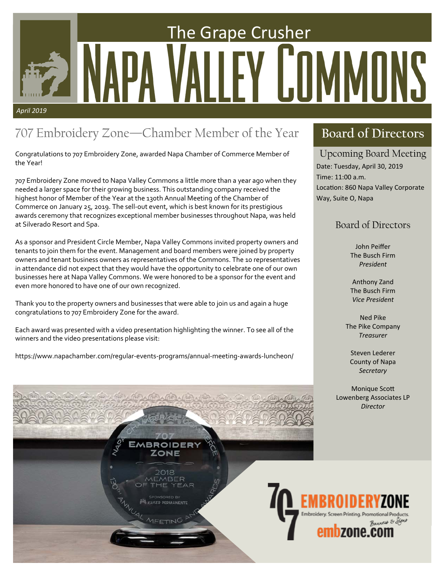# *April 2019*  The Grape Crusher

# 707 Embroidery Zone—Chamber Member of the Year

Congratulations to 707 Embroidery Zone, awarded Napa Chamber of Commerce Member of the Year!

707 Embroidery Zone moved to Napa Valley Commons a little more than a year ago when they needed a larger space for their growing business. This outstanding company received the highest honor of Member of the Year at the 130th Annual Meeting of the Chamber of Commerce on January 25, 2019. The sell‐out event, which is best known for its prestigious awards ceremony that recognizes exceptional member businesses throughout Napa, was held at Silverado Resort and Spa.

As a sponsor and President Circle Member, Napa Valley Commons invited property owners and tenants to join them for the event. Management and board members were joined by property owners and tenant business owners as representatives of the Commons. The 10 representatives in attendance did not expect that they would have the opportunity to celebrate one of our own businesses here at Napa Valley Commons. We were honored to be a sponsor for the event and even more honored to have one of our own recognized.

Thank you to the property owners and businesses that were able to join us and again a huge congratulations to 707 Embroidery Zone for the award.

Each award was presented with a video presentation highlighting the winner. To see all of the winners and the video presentations please visit:

https://www.napachamber.com/regular‐events‐programs/annual‐meeting‐awards‐luncheon/

## **Board of Directors**

## Upcoming Board Meeting

Date: Tuesday, April 30, 2019 Time: 11:00 a.m. Location: 860 Napa Valley Corporate Way, Suite O, Napa

## Board of Directors

John Peiffer The Busch Firm *President* 

Anthony Zand The Busch Firm *Vice President* 

Ned Pike The Pike Company *Treasurer* 

Steven Lederer County of Napa *Secretary* 

**Monique Scott** Lowenberg Associates LP *Director*

ONE

**CAISER PERMANENTE** 

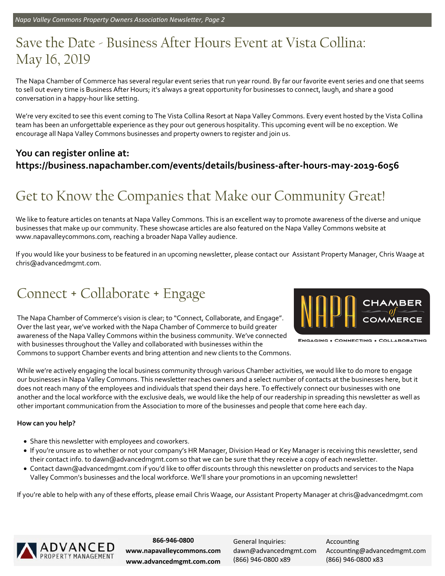# Save the Date - Business After Hours Event at Vista Collina: May 16, 2019

The Napa Chamber of Commerce has several regular event series that run year round. By far our favorite event series and one that seems to sell out every time is Business After Hours; it's always a great opportunity for businesses to connect, laugh, and share a good conversation in a happy‐hour like setting.

We're very excited to see this event coming to The Vista Collina Resort at Napa Valley Commons. Every event hosted by the Vista Collina team has been an unforgettable experience as they pour out generous hospitality. This upcoming event will be no exception. We encourage all Napa Valley Commons businesses and property owners to register and join us.

## **You can register online at: https://business.napachamber.com/events/details/business‐after‐hours‐may‐2019‐6056**

# Get to Know the Companies that Make our Community Great!

We like to feature articles on tenants at Napa Valley Commons. This is an excellent way to promote awareness of the diverse and unique businesses that make up our community. These showcase articles are also featured on the Napa Valley Commons website at www.napavalleycommons.com, reaching a broader Napa Valley audience.

If you would like your business to be featured in an upcoming newsletter, please contact our Assistant Property Manager, Chris Waage at chris@advancedmgmt.com.

# Connect + Collaborate + Engage

The Napa Chamber of Commerce's vision is clear; to "Connect, Collaborate, and Engage". Over the last year, we've worked with the Napa Chamber of Commerce to build greater awareness of the Napa Valley Commons within the business community. We've connected with businesses throughout the Valley and collaborated with businesses within the Commons to support Chamber events and bring attention and new clients to the Commons.



**ENGAGING . CONNECTING . COLLABORATING** 

While we're actively engaging the local business community through various Chamber activities, we would like to do more to engage our businesses in Napa Valley Commons. This newsletter reaches owners and a select number of contacts at the businesses here, but it does not reach many of the employees and individuals that spend their days here. To effectively connect our businesses with one another and the local workforce with the exclusive deals, we would like the help of our readership in spreading this newsletter as well as other important communication from the Association to more of the businesses and people that come here each day.

#### **How can you help?**

- Share this newsletter with employees and coworkers.
- If you're unsure as to whether or not your company's HR Manager, Division Head or Key Manager is receiving this newsletter, send their contact info. to dawn@advancedmgmt.com so that we can be sure that they receive a copy of each newsletter.
- Contact dawn@advancedmgmt.com if you'd like to offer discounts through this newsletter on products and services to the Napa Valley Common's businesses and the local workforce. We'll share your promotions in an upcoming newsletter!

If you're able to help with any of these efforts, please email Chris Waage, our Assistant Property Manager at chris@advancedmgmt.com



**866‐946‐0800 www.napavalleycommons.com www.advancedmgmt.com.com** 

General Inquiries: dawn@advancedmgmt.com (866) 946‐0800 x89

**Accounting** Accounting@advancedmgmt.com (866) 946‐0800 x83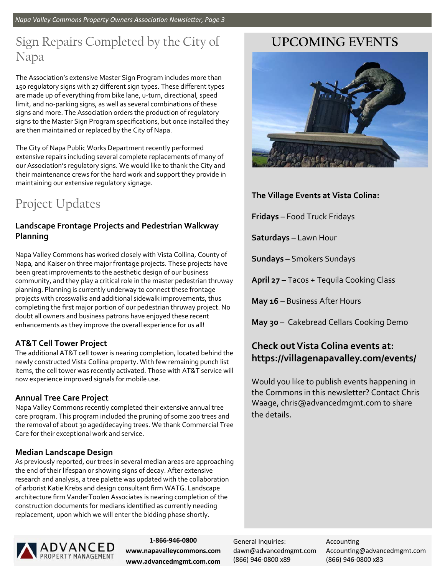*Napa Valley Commons Property Owners AssociaƟon NewsleƩer, Page 3* 

## Sign Repairs Completed by the City of Napa

The Association's extensive Master Sign Program includes more than 150 regulatory signs with 27 different sign types. These different types are made up of everything from bike lane, u-turn, directional, speed limit, and no‐parking signs, as well as several combinations of these signs and more. The Association orders the production of regulatory signs to the Master Sign Program specifications, but once installed they are then maintained or replaced by the City of Napa.

The City of Napa Public Works Department recently performed extensive repairs including several complete replacements of many of our Association's regulatory signs. We would like to thank the City and their maintenance crews for the hard work and support they provide in maintaining our extensive regulatory signage.

# Project Updates

#### **Landscape Frontage Projects and Pedestrian Walkway Planning**

Napa Valley Commons has worked closely with Vista Collina, County of Napa, and Kaiser on three major frontage projects. These projects have been great improvements to the aesthetic design of our business community, and they play a critical role in the master pedestrian thruway planning. Planning is currently underway to connect these frontage projects with crosswalks and additional sidewalk improvements, thus completing the first major portion of our pedestrian thruway project. No doubt all owners and business patrons have enjoyed these recent enhancements as they improve the overall experience for us all!

## **AT&T Cell Tower Project**

The additional AT&T cell tower is nearing completion, located behind the newly constructed Vista Collina property. With few remaining punch list items, the cell tower was recently activated. Those with AT&T service will now experience improved signals for mobile use.

## **Annual Tree Care Project**

Napa Valley Commons recently completed their extensive annual tree care program. This program included the pruning of some 200 trees and the removal of about 30 aged/decaying trees. We thank Commercial Tree Care for their exceptional work and service.

## **Median Landscape Design**

As previously reported, our trees in several median areas are approaching the end of their lifespan or showing signs of decay. After extensive research and analysis, a tree palette was updated with the collaboration of arborist Katie Krebs and design consultant firm WATG. Landscape architecture firm VanderToolen Associates is nearing completion of the construction documents for medians identified as currently needing replacement, upon which we will enter the bidding phase shortly.



**1‐866‐946‐0800 www.napavalleycommons.com www.advancedmgmt.com.com** 

## **UPCOMING EVENTS**



**The Village Events at Vista Colina:** 

**Fridays** – Food Truck Fridays

**Saturdays** – Lawn Hour

**Sundays** – Smokers Sundays

**April 27** – Tacos + Tequila Cooking Class

**May 16** – Business After Hours

**May 30** – Cakebread Cellars Cooking Demo

## **Check out Vista Colina events at: https://villagenapavalley.com/events/**

Would you like to publish events happening in the Commons in this newsletter? Contact Chris Waage, chris@advancedmgmt.com to share the details.

General Inquiries: dawn@advancedmgmt.com (866) 946‐0800 x89

**Accounting** Accounting@advancedmgmt.com (866) 946‐0800 x83